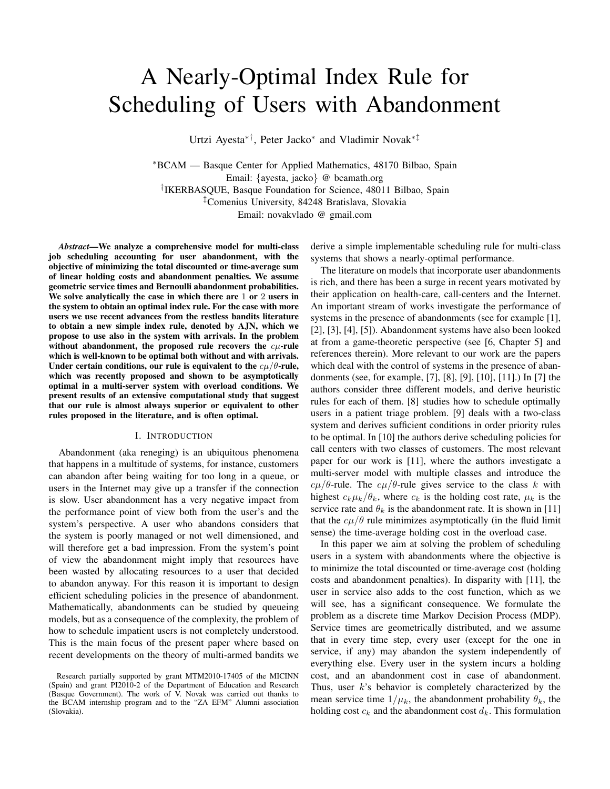# A Nearly-Optimal Index Rule for Scheduling of Users with Abandonment

Urtzi Ayesta∗†, Peter Jacko<sup>∗</sup> and Vladimir Novak∗‡

<sup>∗</sup>BCAM — Basque Center for Applied Mathematics, 48170 Bilbao, Spain Email: {ayesta, jacko} @ bcamath.org † IKERBASQUE, Basque Foundation for Science, 48011 Bilbao, Spain ‡Comenius University, 84248 Bratislava, Slovakia Email: novakvlado @ gmail.com

*Abstract*—We analyze a comprehensive model for multi-class job scheduling accounting for user abandonment, with the objective of minimizing the total discounted or time-average sum of linear holding costs and abandonment penalties. We assume geometric service times and Bernoulli abandonment probabilities. We solve analytically the case in which there are 1 or 2 users in the system to obtain an optimal index rule. For the case with more users we use recent advances from the restless bandits literature to obtain a new simple index rule, denoted by AJN, which we propose to use also in the system with arrivals. In the problem without abandonment, the proposed rule recovers the  $c\mu$ -rule which is well-known to be optimal both without and with arrivals. Under certain conditions, our rule is equivalent to the  $c\mu/\theta$ -rule, which was recently proposed and shown to be asymptotically optimal in a multi-server system with overload conditions. We present results of an extensive computational study that suggest that our rule is almost always superior or equivalent to other rules proposed in the literature, and is often optimal.

#### I. INTRODUCTION

Abandonment (aka reneging) is an ubiquitous phenomena that happens in a multitude of systems, for instance, customers can abandon after being waiting for too long in a queue, or users in the Internet may give up a transfer if the connection is slow. User abandonment has a very negative impact from the performance point of view both from the user's and the system's perspective. A user who abandons considers that the system is poorly managed or not well dimensioned, and will therefore get a bad impression. From the system's point of view the abandonment might imply that resources have been wasted by allocating resources to a user that decided to abandon anyway. For this reason it is important to design efficient scheduling policies in the presence of abandonment. Mathematically, abandonments can be studied by queueing models, but as a consequence of the complexity, the problem of how to schedule impatient users is not completely understood. This is the main focus of the present paper where based on recent developments on the theory of multi-armed bandits we derive a simple implementable scheduling rule for multi-class systems that shows a nearly-optimal performance.

The literature on models that incorporate user abandonments is rich, and there has been a surge in recent years motivated by their application on health-care, call-centers and the Internet. An important stream of works investigate the performance of systems in the presence of abandonments (see for example [1], [2], [3], [4], [5]). Abandonment systems have also been looked at from a game-theoretic perspective (see [6, Chapter 5] and references therein). More relevant to our work are the papers which deal with the control of systems in the presence of abandonments (see, for example, [7], [8], [9], [10], [11].) In [7] the authors consider three different models, and derive heuristic rules for each of them. [8] studies how to schedule optimally users in a patient triage problem. [9] deals with a two-class system and derives sufficient conditions in order priority rules to be optimal. In [10] the authors derive scheduling policies for call centers with two classes of customers. The most relevant paper for our work is [11], where the authors investigate a multi-server model with multiple classes and introduce the  $c\mu/\theta$ -rule. The  $c\mu/\theta$ -rule gives service to the class k with highest  $c_k\mu_k/\theta_k$ , where  $c_k$  is the holding cost rate,  $\mu_k$  is the service rate and  $\theta_k$  is the abandonment rate. It is shown in [11] that the  $c\mu/\theta$  rule minimizes asymptotically (in the fluid limit sense) the time-average holding cost in the overload case.

In this paper we aim at solving the problem of scheduling users in a system with abandonments where the objective is to minimize the total discounted or time-average cost (holding costs and abandonment penalties). In disparity with [11], the user in service also adds to the cost function, which as we will see, has a significant consequence. We formulate the problem as a discrete time Markov Decision Process (MDP). Service times are geometrically distributed, and we assume that in every time step, every user (except for the one in service, if any) may abandon the system independently of everything else. Every user in the system incurs a holding cost, and an abandonment cost in case of abandonment. Thus, user  $k$ 's behavior is completely characterized by the mean service time  $1/\mu_k$ , the abandonment probability  $\theta_k$ , the holding cost  $c_k$  and the abandonment cost  $d_k$ . This formulation

Research partially supported by grant MTM2010-17405 of the MICINN (Spain) and grant PI2010-2 of the Department of Education and Research (Basque Government). The work of V. Novak was carried out thanks to the BCAM internship program and to the "ZA EFM" Alumni association (Slovakia).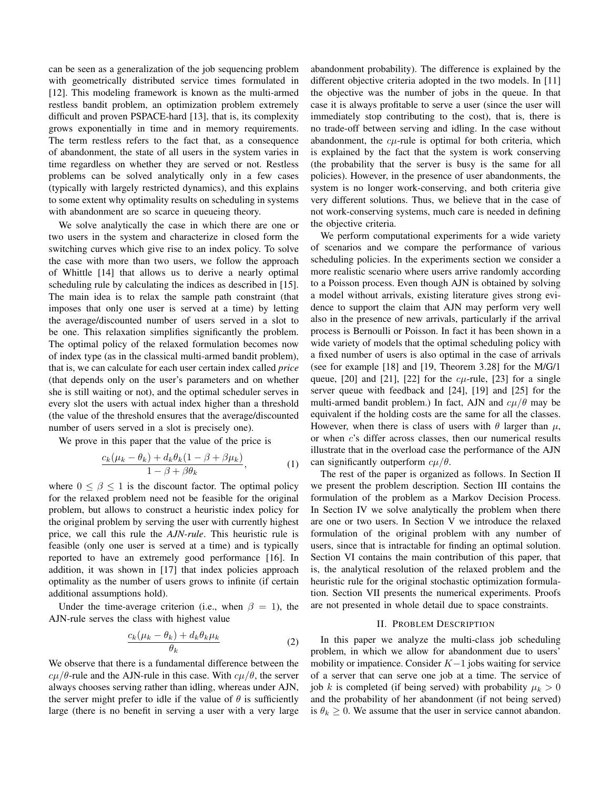can be seen as a generalization of the job sequencing problem with geometrically distributed service times formulated in [12]. This modeling framework is known as the multi-armed restless bandit problem, an optimization problem extremely difficult and proven PSPACE-hard [13], that is, its complexity grows exponentially in time and in memory requirements. The term restless refers to the fact that, as a consequence of abandonment, the state of all users in the system varies in time regardless on whether they are served or not. Restless problems can be solved analytically only in a few cases (typically with largely restricted dynamics), and this explains to some extent why optimality results on scheduling in systems with abandonment are so scarce in queueing theory.

We solve analytically the case in which there are one or two users in the system and characterize in closed form the switching curves which give rise to an index policy. To solve the case with more than two users, we follow the approach of Whittle [14] that allows us to derive a nearly optimal scheduling rule by calculating the indices as described in [15]. The main idea is to relax the sample path constraint (that imposes that only one user is served at a time) by letting the average/discounted number of users served in a slot to be one. This relaxation simplifies significantly the problem. The optimal policy of the relaxed formulation becomes now of index type (as in the classical multi-armed bandit problem), that is, we can calculate for each user certain index called *price* (that depends only on the user's parameters and on whether she is still waiting or not), and the optimal scheduler serves in every slot the users with actual index higher than a threshold (the value of the threshold ensures that the average/discounted number of users served in a slot is precisely one).

We prove in this paper that the value of the price is

$$
\frac{c_k(\mu_k - \theta_k) + d_k \theta_k (1 - \beta + \beta \mu_k)}{1 - \beta + \beta \theta_k},
$$
\n(1)

where  $0 \le \beta \le 1$  is the discount factor. The optimal policy for the relaxed problem need not be feasible for the original problem, but allows to construct a heuristic index policy for the original problem by serving the user with currently highest price, we call this rule the *AJN-rule*. This heuristic rule is feasible (only one user is served at a time) and is typically reported to have an extremely good performance [16]. In addition, it was shown in [17] that index policies approach optimality as the number of users grows to infinite (if certain additional assumptions hold).

Under the time-average criterion (i.e., when  $\beta = 1$ ), the AJN-rule serves the class with highest value

$$
\frac{c_k(\mu_k - \theta_k) + d_k \theta_k \mu_k}{\theta_k} \tag{2}
$$

We observe that there is a fundamental difference between the  $c\mu/\theta$ -rule and the AJN-rule in this case. With  $c\mu/\theta$ , the server always chooses serving rather than idling, whereas under AJN, the server might prefer to idle if the value of  $\theta$  is sufficiently large (there is no benefit in serving a user with a very large abandonment probability). The difference is explained by the different objective criteria adopted in the two models. In [11] the objective was the number of jobs in the queue. In that case it is always profitable to serve a user (since the user will immediately stop contributing to the cost), that is, there is no trade-off between serving and idling. In the case without abandonment, the  $c\mu$ -rule is optimal for both criteria, which is explained by the fact that the system is work conserving (the probability that the server is busy is the same for all policies). However, in the presence of user abandonments, the system is no longer work-conserving, and both criteria give very different solutions. Thus, we believe that in the case of not work-conserving systems, much care is needed in defining the objective criteria.

We perform computational experiments for a wide variety of scenarios and we compare the performance of various scheduling policies. In the experiments section we consider a more realistic scenario where users arrive randomly according to a Poisson process. Even though AJN is obtained by solving a model without arrivals, existing literature gives strong evidence to support the claim that AJN may perform very well also in the presence of new arrivals, particularly if the arrival process is Bernoulli or Poisson. In fact it has been shown in a wide variety of models that the optimal scheduling policy with a fixed number of users is also optimal in the case of arrivals (see for example [18] and [19, Theorem 3.28] for the M/G/1 queue, [20] and [21], [22] for the  $c\mu$ -rule, [23] for a single server queue with feedback and [24], [19] and [25] for the multi-armed bandit problem.) In fact, AJN and  $c\mu/\theta$  may be equivalent if the holding costs are the same for all the classes. However, when there is class of users with  $\theta$  larger than  $\mu$ , or when c's differ across classes, then our numerical results illustrate that in the overload case the performance of the AJN can significantly outperform  $c\mu/\theta$ .

The rest of the paper is organized as follows. In Section II we present the problem description. Section III contains the formulation of the problem as a Markov Decision Process. In Section IV we solve analytically the problem when there are one or two users. In Section V we introduce the relaxed formulation of the original problem with any number of users, since that is intractable for finding an optimal solution. Section VI contains the main contribution of this paper, that is, the analytical resolution of the relaxed problem and the heuristic rule for the original stochastic optimization formulation. Section VII presents the numerical experiments. Proofs are not presented in whole detail due to space constraints.

#### II. PROBLEM DESCRIPTION

In this paper we analyze the multi-class job scheduling problem, in which we allow for abandonment due to users' mobility or impatience. Consider  $K-1$  jobs waiting for service of a server that can serve one job at a time. The service of job k is completed (if being served) with probability  $\mu_k > 0$ and the probability of her abandonment (if not being served) is  $\theta_k \geq 0$ . We assume that the user in service cannot abandon.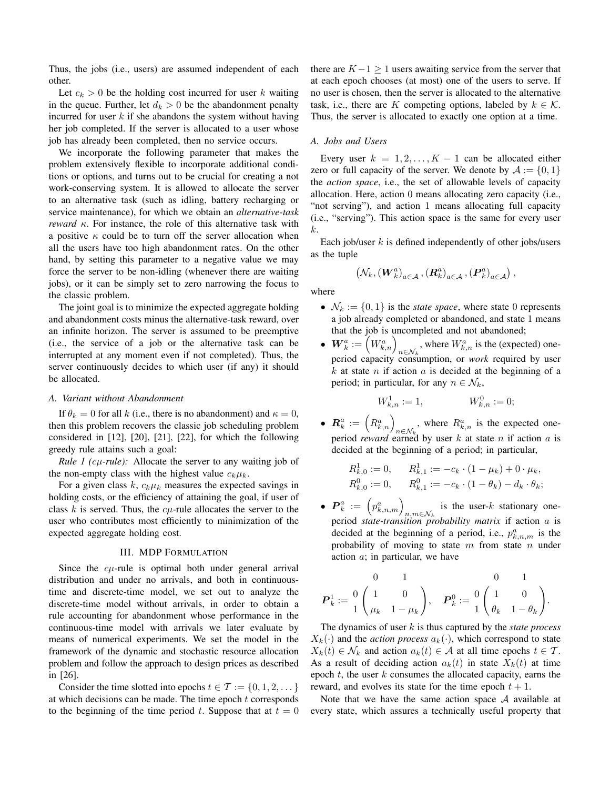Thus, the jobs (i.e., users) are assumed independent of each other.

Let  $c_k > 0$  be the holding cost incurred for user k waiting in the queue. Further, let  $d_k > 0$  be the abandonment penalty incurred for user  $k$  if she abandons the system without having her job completed. If the server is allocated to a user whose job has already been completed, then no service occurs.

We incorporate the following parameter that makes the problem extensively flexible to incorporate additional conditions or options, and turns out to be crucial for creating a not work-conserving system. It is allowed to allocate the server to an alternative task (such as idling, battery recharging or service maintenance), for which we obtain an *alternative-task reward*  $\kappa$ . For instance, the role of this alternative task with a positive  $\kappa$  could be to turn off the server allocation when all the users have too high abandonment rates. On the other hand, by setting this parameter to a negative value we may force the server to be non-idling (whenever there are waiting jobs), or it can be simply set to zero narrowing the focus to the classic problem.

The joint goal is to minimize the expected aggregate holding and abandonment costs minus the alternative-task reward, over an infinite horizon. The server is assumed to be preemptive (i.e., the service of a job or the alternative task can be interrupted at any moment even if not completed). Thus, the server continuously decides to which user (if any) it should be allocated.

#### *A. Variant without Abandonment*

If  $\theta_k = 0$  for all k (i.e., there is no abandonment) and  $\kappa = 0$ , then this problem recovers the classic job scheduling problem considered in [12], [20], [21], [22], for which the following greedy rule attains such a goal:

*Rule 1 (*cµ*-rule):* Allocate the server to any waiting job of the non-empty class with the highest value  $c_k\mu_k$ .

For a given class k,  $c_k\mu_k$  measures the expected savings in holding costs, or the efficiency of attaining the goal, if user of class  $k$  is served. Thus, the  $c\mu$ -rule allocates the server to the user who contributes most efficiently to minimization of the expected aggregate holding cost.

## III. MDP FORMULATION

Since the  $c\mu$ -rule is optimal both under general arrival distribution and under no arrivals, and both in continuoustime and discrete-time model, we set out to analyze the discrete-time model without arrivals, in order to obtain a rule accounting for abandonment whose performance in the continuous-time model with arrivals we later evaluate by means of numerical experiments. We set the model in the framework of the dynamic and stochastic resource allocation problem and follow the approach to design prices as described in [26].

Consider the time slotted into epochs  $t \in \mathcal{T} := \{0, 1, 2, \dots\}$ at which decisions can be made. The time epoch t corresponds to the beginning of the time period t. Suppose that at  $t = 0$  there are  $K - 1 \geq 1$  users awaiting service from the server that at each epoch chooses (at most) one of the users to serve. If no user is chosen, then the server is allocated to the alternative task, i.e., there are K competing options, labeled by  $k \in \mathcal{K}$ . Thus, the server is allocated to exactly one option at a time.

#### *A. Jobs and Users*

Every user  $k = 1, 2, ..., K - 1$  can be allocated either zero or full capacity of the server. We denote by  $A := \{0, 1\}$ the *action space*, i.e., the set of allowable levels of capacity allocation. Here, action 0 means allocating zero capacity (i.e., "not serving"), and action 1 means allocating full capacity (i.e., "serving"). This action space is the same for every user k.

Each job/user  $k$  is defined independently of other jobs/users as the tuple

$$
\left(\mathcal{N}_k, \left(\pmb{W}^a_k\right)_{a\in\mathcal{A}}, \left(\pmb{R}^a_k\right)_{a\in\mathcal{A}}, \left(\pmb{P}^a_k\right)_{a\in\mathcal{A}}\right),
$$

where

- $\mathcal{N}_k := \{0, 1\}$  is the *state space*, where state 0 represents a job already completed or abandoned, and state 1 means that the job is uncompleted and not abandoned;
- $\boldsymbol{W}_k^a := \left(W_{k,n}^a\right)_{n \in \mathcal{N}_k}$ , where  $W_{k,n}^a$  is the (expected) oneperiod capacity consumption, or *work* required by user  $k$  at state  $n$  if action  $a$  is decided at the beginning of a period; in particular, for any  $n \in \mathcal{N}_k$ ,

$$
W_{k,n}^1 := 1, \qquad W_{k,n}^0 := 0;
$$

•  $\mathbf{R}_k^a := \left(R_{k,n}^a\right)_{n \in \mathcal{N}_k}$ , where  $R_{k,n}^a$  is the expected oneperiod *reward* earned by user  $k$  at state  $n$  if action  $a$  is decided at the beginning of a period; in particular,

$$
R^1_{k,0} := 0, \t R^1_{k,1} := -c_k \cdot (1 - \mu_k) + 0 \cdot \mu_k,
$$
  
\n
$$
R^0_{k,0} := 0, \t R^0_{k,1} := -c_k \cdot (1 - \theta_k) - d_k \cdot \theta_k;
$$

•  $\boldsymbol{P}_k^a := \left( p_{k,n,m}^a \right)_{n,m \in \mathcal{N}_k}$  is the user-k stationary oneperiod *state-transition probability matrix* if action a is decided at the beginning of a period, i.e.,  $p_{k,n,m}^a$  is the probability of moving to state  $m$  from state  $n$  under action  $a$ ; in particular, we have

$$
\bm{P}_k^1:=\frac{0}{1}\left(\begin{matrix} 1 & 0 \\ 1 & 0 \\ \mu_k & 1-\mu_k \end{matrix}\right)\!,\quad \bm{P}_k^0:=\frac{0}{1}\left(\begin{matrix} 1 & 0 \\ \theta_k & 1-\theta_k \end{matrix}\right)\!.
$$

The dynamics of user k is thus captured by the *state process*  $X_k(\cdot)$  and the *action process*  $a_k(\cdot)$ , which correspond to state  $X_k(t) \in \mathcal{N}_k$  and action  $a_k(t) \in \mathcal{A}$  at all time epochs  $t \in \mathcal{T}$ . As a result of deciding action  $a_k(t)$  in state  $X_k(t)$  at time epoch  $t$ , the user  $k$  consumes the allocated capacity, earns the reward, and evolves its state for the time epoch  $t + 1$ .

Note that we have the same action space  $A$  available at every state, which assures a technically useful property that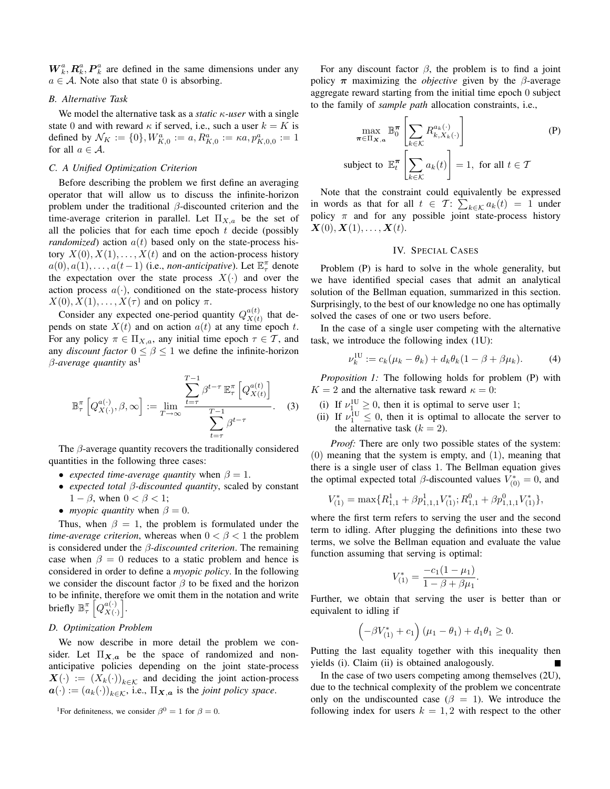$W_k^a$ ,  $\mathbf{R}_k^a$ ,  $\mathbf{P}_k^a$  are defined in the same dimensions under any  $a \in \mathcal{A}$ . Note also that state 0 is absorbing.

#### *B. Alternative Task*

We model the alternative task as a *static* κ*-user* with a single state 0 and with reward  $\kappa$  if served, i.e., such a user  $k = K$  is defined by  $\mathcal{N}_K := \{0\}, W^a_{K,0} := a, R^a_{K,0} := \kappa a, p^a_{K,0,0} := 1$ for all  $a \in \mathcal{A}$ .

#### *C. A Unified Optimization Criterion*

Before describing the problem we first define an averaging operator that will allow us to discuss the infinite-horizon problem under the traditional  $\beta$ -discounted criterion and the time-average criterion in parallel. Let  $\Pi_{X,a}$  be the set of all the policies that for each time epoch  $t$  decide (possibly *randomized*) action  $a(t)$  based only on the state-process history  $X(0), X(1), \ldots, X(t)$  and on the action-process history  $a(0), a(1), \ldots, a(t-1)$  (i.e., *non-anticipative*). Let  $\mathbb{E}_{\tau}^{\pi}$  denote the expectation over the state process  $X(\cdot)$  and over the action process  $a(\cdot)$ , conditioned on the state-process history  $X(0), X(1), \ldots, X(\tau)$  and on policy  $\pi$ .

Consider any expected one-period quantity  $Q_{X(t)}^{a(t)}$  $\frac{d(t)}{X(t)}$  that depends on state  $X(t)$  and on action  $a(t)$  at any time epoch t. For any policy  $\pi \in \Pi_{X,a}$ , any initial time epoch  $\tau \in \mathcal{T}$ , and any *discount factor*  $0 \le \beta \le 1$  we define the infinite-horizon β*-average quantity* as<sup>1</sup>

$$
\mathbb{B}_{\tau}^{\pi}\left[Q_{X(\cdot)}^{a(\cdot)},\beta,\infty\right] := \lim_{T \to \infty} \frac{\sum_{t=\tau}^{T-1} \beta^{t-\tau} \mathbb{E}_{\tau}^{\pi}\left[Q_{X(t)}^{a(t)}\right]}{\sum_{t=\tau}^{T-1} \beta^{t-\tau}}.
$$
 (3)

The  $\beta$ -average quantity recovers the traditionally considered quantities in the following three cases:

- *expected time-average quantity* when  $\beta = 1$ .
- *expected total* β*-discounted quantity*, scaled by constant  $1 - \beta$ , when  $0 < \beta < 1$ ;
- *myopic quantity* when  $\beta = 0$ .

Thus, when  $\beta = 1$ , the problem is formulated under the *time-average criterion*, whereas when  $0 < \beta < 1$  the problem is considered under the β*-discounted criterion*. The remaining case when  $\beta = 0$  reduces to a static problem and hence is considered in order to define a *myopic policy*. In the following we consider the discount factor  $\beta$  to be fixed and the horizon to be infinite, therefore we omit them in the notation and write briefly  $\mathbb{B}_{\tau}^{\pi}$   $\left[Q_{X}^{a(\cdot)}\right]$  $\begin{bmatrix} a(\cdot) \\ X(\cdot) \end{bmatrix}$ .

#### *D. Optimization Problem*

We now describe in more detail the problem we consider. Let  $\Pi_{\mathbf{X},a}$  be the space of randomized and nonanticipative policies depending on the joint state-process  $\mathbf{X}(\cdot) := (X_k(\cdot))_{k \in \mathcal{K}}$  and deciding the joint action-process  $\mathbf{a}(\cdot) := (a_k(\cdot))_{k \in \mathcal{K}}$ , i.e.,  $\Pi_{\mathbf{X},\mathbf{a}}$  is the *joint policy space*.

<sup>1</sup>For definiteness, we consider  $\beta^0 = 1$  for  $\beta = 0$ .

For any discount factor  $\beta$ , the problem is to find a joint policy  $\pi$  maximizing the *objective* given by the *β*-average aggregate reward starting from the initial time epoch 0 subject to the family of *sample path* allocation constraints, i.e.,

$$
\max_{\boldsymbol{\pi} \in \Pi_{\mathbf{X}, \mathbf{a}}} \mathbb{B}_{0}^{\boldsymbol{\pi}} \left[ \sum_{k \in \mathcal{K}} R_{k, X_{k}(\cdot)}^{a_{k}(\cdot)} \right] \qquad (P)
$$
\n
$$
\text{subject to } \mathbb{E}_{t}^{\boldsymbol{\pi}} \left[ \sum_{k \in \mathcal{K}} a_{k}(t) \right] = 1, \text{ for all } t \in \mathcal{T}
$$

Note that the constraint could equivalently be expressed in words as that for all  $t \in \mathcal{T}$ :  $\sum_{k \in \mathcal{K}} a_k(t) = 1$  under policy  $\pi$  and for any possible joint state-process history  $\bm{X}(0), \bm{X}(1), \ldots, \bm{X}(t).$ 

## IV. SPECIAL CASES

Problem (P) is hard to solve in the whole generality, but we have identified special cases that admit an analytical solution of the Bellman equation, summarized in this section. Surprisingly, to the best of our knowledge no one has optimally solved the cases of one or two users before.

In the case of a single user competing with the alternative task, we introduce the following index (1U):

$$
\nu_k^{\text{IU}} := c_k(\mu_k - \theta_k) + d_k \theta_k (1 - \beta + \beta \mu_k). \tag{4}
$$

*Proposition 1:* The following holds for problem (P) with  $K = 2$  and the alternative task reward  $\kappa = 0$ :

- (i) If  $\nu_1^{\text{IU}} \geq 0$ , then it is optimal to serve user 1;
- (ii) If  $\nu_1^{\text{IU}} \leq 0$ , then it is optimal to allocate the server to the alternative task  $(k = 2)$ .

*Proof:* There are only two possible states of the system: (0) meaning that the system is empty, and (1), meaning that there is a single user of class 1. The Bellman equation gives the optimal expected total  $\beta$ -discounted values  $V_{(0)}^* = 0$ , and

$$
V_{(1)}^* = \max\{R_{1,1}^1 + \beta p_{1,1,1}^1 V_{(1)}^*; R_{1,1}^0 + \beta p_{1,1,1}^0 V_{(1)}^*\},\
$$

where the first term refers to serving the user and the second term to idling. After plugging the definitions into these two terms, we solve the Bellman equation and evaluate the value function assuming that serving is optimal:

$$
V_{(1)}^* = \frac{-c_1(1 - \mu_1)}{1 - \beta + \beta \mu_1}.
$$

Further, we obtain that serving the user is better than or equivalent to idling if

$$
(-\beta V_{(1)}^* + c_1)(\mu_1 - \theta_1) + d_1 \theta_1 \ge 0.
$$

Putting the last equality together with this inequality then yields (i). Claim (ii) is obtained analogously.

In the case of two users competing among themselves (2U), due to the technical complexity of the problem we concentrate only on the undiscounted case ( $\beta = 1$ ). We introduce the following index for users  $k = 1, 2$  with respect to the other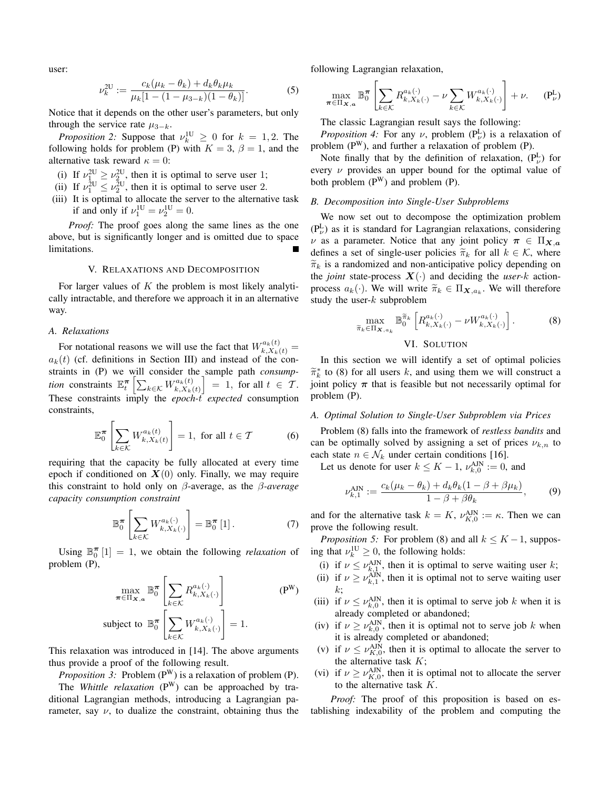user:

$$
\nu_k^{2U} := \frac{c_k(\mu_k - \theta_k) + d_k \theta_k \mu_k}{\mu_k [1 - (1 - \mu_{3-k})(1 - \theta_k)]}.
$$
(5)

Notice that it depends on the other user's parameters, but only through the service rate  $\mu_{3-k}$ .

*Proposition 2:* Suppose that  $\nu_k^{\text{IU}} \geq 0$  for  $k = 1, 2$ . The following holds for problem (P) with  $K = 3$ ,  $\beta = 1$ , and the alternative task reward  $\kappa = 0$ :

- (i) If  $\nu_{1}^{2U} \geq \nu_{2}^{2U}$ , then it is optimal to serve user 1;
- (ii) If  $\nu_1^{2U} \leq \nu_2^{2U}$ , then it is optimal to serve user 2.
- (iii) It is optimal to allocate the server to the alternative task if and only if  $\nu_1^{\text{1U}} = \nu_2^{\text{1U}} = 0$ .

*Proof:* The proof goes along the same lines as the one above, but is significantly longer and is omitted due to space limitations.

#### V. RELAXATIONS AND DECOMPOSITION

For larger values of  $K$  the problem is most likely analytically intractable, and therefore we approach it in an alternative way.

### *A. Relaxations*

For notational reasons we will use the fact that  $W^{a_k(t)}_{k,X_k(t)} =$  $a<sub>k</sub>(t)$  (cf. definitions in Section III) and instead of the constraints in (P) we will consider the sample path *consumption* constraints  $\mathbb{E}_{t}^{\boldsymbol{\pi}}\left[\sum_{k \in \mathcal{K}} W_{k,X_k(t)}^{a_k(t)}\right]$  $\begin{bmatrix} a_k(t) \\ k, X_k(t) \end{bmatrix}$  $= 1$ , for all  $t \in \mathcal{T}$ . These constraints imply the *epoch-*t *expected* consumption constraints,

$$
\mathbb{E}_0^{\boldsymbol{\pi}}\left[\sum_{k \in \mathcal{K}} W_{k, X_k(t)}^{a_k(t)}\right] = 1, \text{ for all } t \in \mathcal{T} \tag{6}
$$

requiring that the capacity be fully allocated at every time epoch if conditioned on  $X(0)$  only. Finally, we may require this constraint to hold only on β-average, as the β*-average capacity consumption constraint*

$$
\mathbb{B}_0^{\boldsymbol{\pi}}\left[\sum_{k\in\mathcal{K}}W_{k,X_k(\cdot)}^{a_k(\cdot)}\right]=\mathbb{B}_0^{\boldsymbol{\pi}}\left[1\right].\tag{7}
$$

Using  $\mathbb{B}_0^{\pi}[1] = 1$ , we obtain the following *relaxation* of problem (P),

$$
\max_{\boldsymbol{\pi} \in \Pi_{\mathbf{X}, \mathbf{a}}} \mathbb{B}_{0}^{\boldsymbol{\pi}} \left[ \sum_{k \in \mathcal{K}} R_{k, X_{k}(\cdot)}^{a_{k}(\cdot)} \right] \qquad (\mathbf{P}^{W})
$$
\n
$$
\text{subject to } \mathbb{B}_{0}^{\boldsymbol{\pi}} \left[ \sum_{k \in \mathcal{K}} W_{k, X_{k}(\cdot)}^{a_{k}(\cdot)} \right] = 1.
$$

This relaxation was introduced in [14]. The above arguments thus provide a proof of the following result.

*Proposition 3:* Problem (P<sup>W</sup>) is a relaxation of problem (P).

The *Whittle relaxation* (P<sup>W</sup>) can be approached by traditional Lagrangian methods, introducing a Lagrangian parameter, say  $\nu$ , to dualize the constraint, obtaining thus the following Lagrangian relaxation,

$$
\max_{\boldsymbol{\pi} \in \Pi_{\mathbf{X}, \mathbf{a}}} \mathbb{B}_{0}^{\boldsymbol{\pi}} \left[ \sum_{k \in \mathcal{K}} R_{k, X_{k}(\cdot)}^{a_{k}(\cdot)} - \nu \sum_{k \in \mathcal{K}} W_{k, X_{k}(\cdot)}^{a_{k}(\cdot)} \right] + \nu. \tag{P\nu}^{\mathbf{L}}
$$

The classic Lagrangian result says the following:

*Proposition 4:* For any  $\nu$ , problem  $(P_{\nu}^{L})$  is a relaxation of problem  $(P^W)$ , and further a relaxation of problem  $(P)$ .

Note finally that by the definition of relaxation,  $(P_{\nu}^{L})$  for every  $\nu$  provides an upper bound for the optimal value of both problem  $(P^W)$  and problem  $(P)$ .

## *B. Decomposition into Single-User Subproblems*

We now set out to decompose the optimization problem  $(P_{\nu}^{L})$  as it is standard for Lagrangian relaxations, considering  $\nu$  as a parameter. Notice that any joint policy  $\pi \in \Pi_{X,a}$ defines a set of single-user policies  $\tilde{\pi}_k$  for all  $k \in \mathcal{K}$ , where  $\widetilde{\pi}_k$  is a randomized and non-anticipative policy depending on the *joint* state-process  $X(\cdot)$  and deciding the *user-k* actionprocess  $a_k(\cdot)$ . We will write  $\widetilde{\pi}_k \in \Pi_{\mathbf{X},a_k}$ . We will therefore study the user- $k$  subproblem

$$
\max_{\tilde{\pi}_k \in \Pi_{\mathbf{X}, a_k}} \mathbb{B}_{0}^{\tilde{\pi}_k} \left[ R_{k, X_k(\cdot)}^{a_k(\cdot)} - \nu W_{k, X_k(\cdot)}^{a_k(\cdot)} \right]. \tag{8}
$$

## VI. SOLUTION

In this section we will identify a set of optimal policies  $\tilde{\pi}_k^*$  to (8) for all users k, and using them we will construct a<br>ioint policy  $\pi$  that is feasible but not pecessarily optimal for joint policy  $\pi$  that is feasible but not necessarily optimal for problem (P).

## *A. Optimal Solution to Single-User Subproblem via Prices*

Problem (8) falls into the framework of *restless bandits* and can be optimally solved by assigning a set of prices  $\nu_{k,n}$  to each state  $n \in \mathcal{N}_k$  under certain conditions [16].

Let us denote for user  $k \leq K - 1$ ,  $\nu_{k,0}^{\text{AIN}} := 0$ , and

$$
\nu_{k,1}^{\text{AIN}} := \frac{c_k(\mu_k - \theta_k) + d_k \theta_k (1 - \beta + \beta \mu_k)}{1 - \beta + \beta \theta_k},\qquad(9)
$$

and for the alternative task  $k = K$ ,  $\nu_{K,0}^{\text{AIN}} := \kappa$ . Then we can prove the following result.

*Proposition 5:* For problem (8) and all  $k \leq K - 1$ , supposing that  $\nu_k^{\text{IU}} \geq 0$ , the following holds:

(i) if  $\nu \leq \nu_{k,1}^{\text{AIN}}$ , then it is optimal to serve waiting user k;

- (ii) if  $\nu \ge \nu_{k,1}^{\text{AIN}}$ , then it is optimal not to serve waiting user k;
- (iii) if  $\nu \leq \nu_{k,0}^{\text{AIN}}$ , then it is optimal to serve job k when it is already completed or abandoned;
- (iv) if  $\nu \geq \nu_{k,0}^{\text{AIN}}$ , then it is optimal not to serve job k when it is already completed or abandoned;
- (v) if  $\nu \leq \nu_{K,0}^{\text{AIN}}$ , then it is optimal to allocate the server to the alternative task  $K$ ;
- (vi) if  $\nu \geq \nu_{K,0}^{\text{AIN}}$ , then it is optimal not to allocate the server to the alternative task K.

*Proof:* The proof of this proposition is based on establishing indexability of the problem and computing the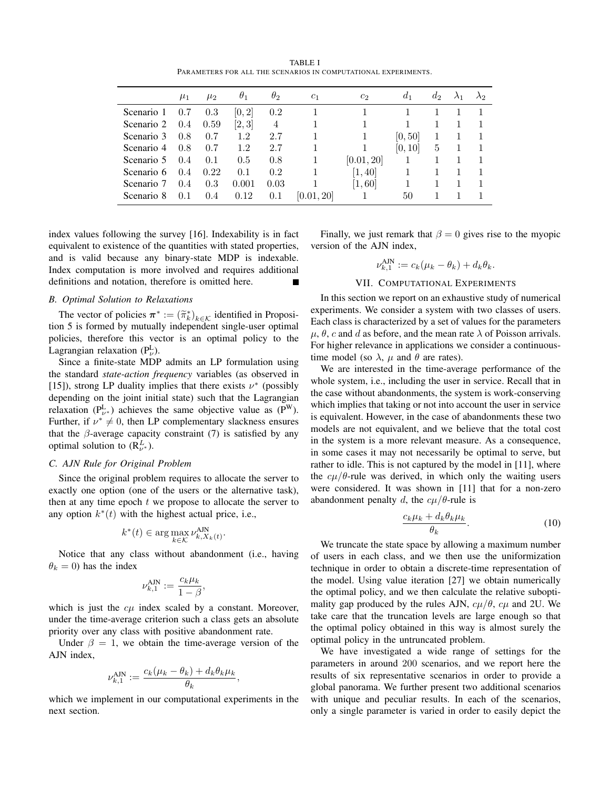TABLE I PARAMETERS FOR ALL THE SCENARIOS IN COMPUTATIONAL EXPERIMENTS.

|            | $\mu_1$ | $\mu_2$ | $\theta_1$ | $\theta_2$ | $c_1$      | c <sub>2</sub> | $a_1$   | a <sub>2</sub> | $\lambda_2$ |
|------------|---------|---------|------------|------------|------------|----------------|---------|----------------|-------------|
| Scenario 1 | 0.7     | 0.3     | [0,2]      | 0.2        |            |                |         |                |             |
| Scenario 2 | 0.4     | 0.59    | [2,3]      | 4          |            |                |         |                |             |
| Scenario 3 | 0.8     | 0.7     | 1.2        | 2.7        |            |                | [0, 50] |                |             |
| Scenario 4 | 0.8     | 0.7     | 1.2        | 2.7        |            |                | [0, 10] | 5              |             |
| Scenario 5 | 0.4     | 0.1     | 0.5        | 0.8        |            | [0.01, 20]     |         |                |             |
| Scenario 6 | 0.4     | 0.22    | 0.1        | 0.2        |            | [1, 40]        |         |                |             |
| Scenario 7 | 0.4     | 0.3     | 0.001      | 0.03       |            | [1, 60]        |         |                |             |
| Scenario 8 | 0.1     | 0.4     | 0.12       | 0.1        | [0.01, 20] |                | 50      |                |             |

index values following the survey [16]. Indexability is in fact equivalent to existence of the quantities with stated properties, and is valid because any binary-state MDP is indexable. Index computation is more involved and requires additional definitions and notation, therefore is omitted here.

#### *B. Optimal Solution to Relaxations*

The vector of policies  $\pi^* := (\tilde{\pi}_k^*)_{k \in \mathcal{K}}$  identified in Proposi-<br>n. 5 is formed by mutually independent single user optimal tion 5 is formed by mutually independent single-user optimal policies, therefore this vector is an optimal policy to the Lagrangian relaxation  $(P_{\nu}^{L})$ .

Since a finite-state MDP admits an LP formulation using the standard *state-action frequency* variables (as observed in [15]), strong LP duality implies that there exists  $\nu^*$  (possibly depending on the joint initial state) such that the Lagrangian relaxation ( $P_{\nu^*}^L$ ) achieves the same objective value as ( $P^W$ ). Further, if  $\nu^* \neq 0$ , then LP complementary slackness ensures that the  $\beta$ -average capacity constraint (7) is satisfied by any optimal solution to  $(R_{\nu^*}^L)$ .

## *C. AJN Rule for Original Problem*

Since the original problem requires to allocate the server to exactly one option (one of the users or the alternative task), then at any time epoch  $t$  we propose to allocate the server to any option  $k^*(t)$  with the highest actual price, i.e.,

$$
k^*(t) \in \arg\max_{k \in \mathcal{K}} \nu^{\text{AIN}}_{k,X_k(t)}.
$$

Notice that any class without abandonment (i.e., having  $\theta_k = 0$ ) has the index

$$
\nu_{k,1}^{\text{AIN}} := \frac{c_k \mu_k}{1 - \beta},
$$

which is just the  $c\mu$  index scaled by a constant. Moreover, under the time-average criterion such a class gets an absolute priority over any class with positive abandonment rate.

Under  $\beta = 1$ , we obtain the time-average version of the AJN index,

$$
\nu_{k,1}^{\text{AIN}} := \frac{c_k(\mu_k - \theta_k) + d_k \theta_k \mu_k}{\theta_k},
$$

which we implement in our computational experiments in the next section.

Finally, we just remark that  $\beta = 0$  gives rise to the myopic version of the AJN index,

$$
\nu_{k,1}^{\text{AIN}} := c_k(\mu_k - \theta_k) + d_k \theta_k.
$$

### VII. COMPUTATIONAL EXPERIMENTS

In this section we report on an exhaustive study of numerical experiments. We consider a system with two classes of users. Each class is characterized by a set of values for the parameters  $\mu$ ,  $\theta$ , c and d as before, and the mean rate  $\lambda$  of Poisson arrivals. For higher relevance in applications we consider a continuoustime model (so  $\lambda$ ,  $\mu$  and  $\theta$  are rates).

We are interested in the time-average performance of the whole system, i.e., including the user in service. Recall that in the case without abandonments, the system is work-conserving which implies that taking or not into account the user in service is equivalent. However, in the case of abandonments these two models are not equivalent, and we believe that the total cost in the system is a more relevant measure. As a consequence, in some cases it may not necessarily be optimal to serve, but rather to idle. This is not captured by the model in [11], where the  $c\mu/\theta$ -rule was derived, in which only the waiting users were considered. It was shown in [11] that for a non-zero abandonment penalty d, the  $c\mu/\theta$ -rule is

$$
\frac{c_k \mu_k + d_k \theta_k \mu_k}{\theta_k}.
$$
 (10)

We truncate the state space by allowing a maximum number of users in each class, and we then use the uniformization technique in order to obtain a discrete-time representation of the model. Using value iteration [27] we obtain numerically the optimal policy, and we then calculate the relative suboptimality gap produced by the rules AJN,  $c\mu/\theta$ ,  $c\mu$  and 2U. We take care that the truncation levels are large enough so that the optimal policy obtained in this way is almost surely the optimal policy in the untruncated problem.

We have investigated a wide range of settings for the parameters in around 200 scenarios, and we report here the results of six representative scenarios in order to provide a global panorama. We further present two additional scenarios with unique and peculiar results. In each of the scenarios, only a single parameter is varied in order to easily depict the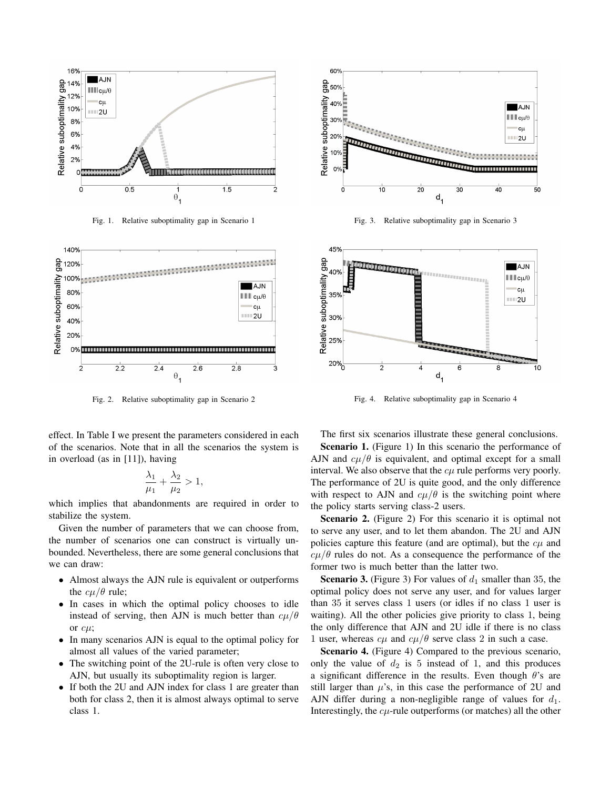

Fig. 1. Relative suboptimality gap in Scenario 1



Fig. 2. Relative suboptimality gap in Scenario 2

effect. In Table I we present the parameters considered in each of the scenarios. Note that in all the scenarios the system is in overload (as in [11]), having

$$
\frac{\lambda_1}{\mu_1} + \frac{\lambda_2}{\mu_2} > 1,
$$

which implies that abandonments are required in order to stabilize the system.

Given the number of parameters that we can choose from, the number of scenarios one can construct is virtually unbounded. Nevertheless, there are some general conclusions that we can draw:

- Almost always the AJN rule is equivalent or outperforms the  $c\mu/\theta$  rule;
- In cases in which the optimal policy chooses to idle instead of serving, then AJN is much better than  $c\mu/\theta$ or  $cu$ ;
- In many scenarios AJN is equal to the optimal policy for almost all values of the varied parameter;
- The switching point of the 2U-rule is often very close to AJN, but usually its suboptimality region is larger.
- If both the 2U and AJN index for class 1 are greater than both for class 2, then it is almost always optimal to serve class 1.



Fig. 3. Relative suboptimality gap in Scenario 3



Fig. 4. Relative suboptimality gap in Scenario 4

The first six scenarios illustrate these general conclusions.

Scenario 1. (Figure 1) In this scenario the performance of AJN and  $c\mu/\theta$  is equivalent, and optimal except for a small interval. We also observe that the  $c\mu$  rule performs very poorly. The performance of 2U is quite good, and the only difference with respect to AJN and  $c\mu/\theta$  is the switching point where the policy starts serving class-2 users.

Scenario 2. (Figure 2) For this scenario it is optimal not to serve any user, and to let them abandon. The 2U and AJN policies capture this feature (and are optimal), but the  $c\mu$  and  $c\mu/\theta$  rules do not. As a consequence the performance of the former two is much better than the latter two.

**Scenario 3.** (Figure 3) For values of  $d_1$  smaller than 35, the optimal policy does not serve any user, and for values larger than 35 it serves class 1 users (or idles if no class 1 user is waiting). All the other policies give priority to class 1, being the only difference that AJN and 2U idle if there is no class 1 user, whereas  $c\mu$  and  $c\mu/\theta$  serve class 2 in such a case.

Scenario 4. (Figure 4) Compared to the previous scenario, only the value of  $d_2$  is 5 instead of 1, and this produces a significant difference in the results. Even though  $\theta$ 's are still larger than  $\mu$ 's, in this case the performance of 2U and AJN differ during a non-negligible range of values for  $d_1$ . Interestingly, the  $c\mu$ -rule outperforms (or matches) all the other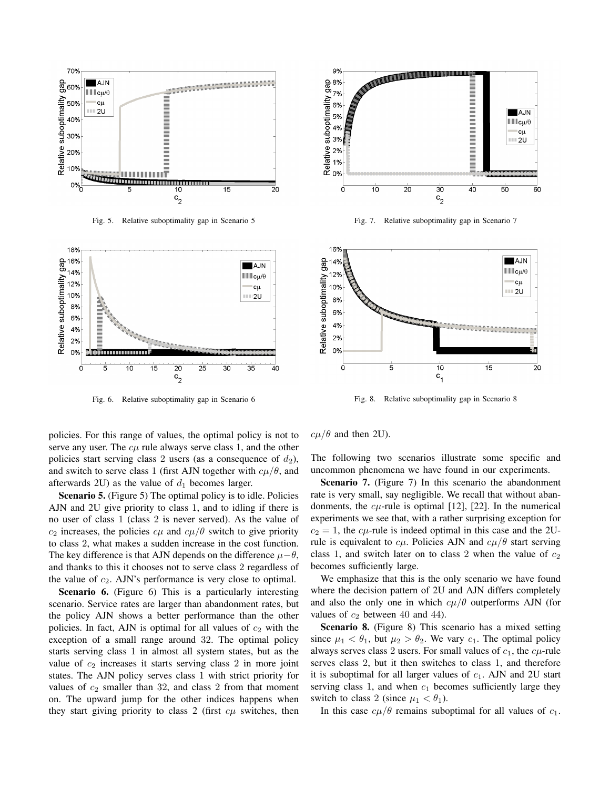



Fig. 6. Relative suboptimality gap in Scenario 6



Fig. 7. Relative suboptimality gap in Scenario 7



Fig. 8. Relative suboptimality gap in Scenario 8

policies. For this range of values, the optimal policy is not to serve any user. The  $c\mu$  rule always serve class 1, and the other policies start serving class 2 users (as a consequence of  $d_2$ ), and switch to serve class 1 (first AJN together with  $c\mu/\theta$ , and afterwards 2U) as the value of  $d_1$  becomes larger.

Scenario 5. (Figure 5) The optimal policy is to idle. Policies AJN and 2U give priority to class 1, and to idling if there is no user of class 1 (class 2 is never served). As the value of  $c_2$  increases, the policies  $c\mu$  and  $c\mu/\theta$  switch to give priority to class 2, what makes a sudden increase in the cost function. The key difference is that AJN depends on the difference  $\mu - \theta$ , and thanks to this it chooses not to serve class 2 regardless of the value of  $c_2$ . AJN's performance is very close to optimal.

Scenario 6. (Figure 6) This is a particularly interesting scenario. Service rates are larger than abandonment rates, but the policy AJN shows a better performance than the other policies. In fact, AJN is optimal for all values of  $c_2$  with the exception of a small range around 32. The optimal policy starts serving class 1 in almost all system states, but as the value of  $c_2$  increases it starts serving class 2 in more joint states. The AJN policy serves class 1 with strict priority for values of  $c_2$  smaller than 32, and class 2 from that moment on. The upward jump for the other indices happens when they start giving priority to class 2 (first  $c\mu$  switches, then  $c\mu/\theta$  and then 2U).

The following two scenarios illustrate some specific and uncommon phenomena we have found in our experiments.

Scenario 7. (Figure 7) In this scenario the abandonment rate is very small, say negligible. We recall that without abandonments, the  $c\mu$ -rule is optimal [12], [22]. In the numerical experiments we see that, with a rather surprising exception for  $c_2 = 1$ , the *c<sub>µ*-rule</sub> is indeed optimal in this case and the 2Urule is equivalent to  $c\mu$ . Policies AJN and  $c\mu/\theta$  start serving class 1, and switch later on to class 2 when the value of  $c_2$ becomes sufficiently large.

We emphasize that this is the only scenario we have found where the decision pattern of 2U and AJN differs completely and also the only one in which  $c\mu/\theta$  outperforms AJN (for values of  $c_2$  between 40 and 44).

Scenario 8. (Figure 8) This scenario has a mixed setting since  $\mu_1 < \theta_1$ , but  $\mu_2 > \theta_2$ . We vary  $c_1$ . The optimal policy always serves class 2 users. For small values of  $c_1$ , the  $c\mu$ -rule serves class 2, but it then switches to class 1, and therefore it is suboptimal for all larger values of  $c_1$ . AJN and 2U start serving class 1, and when  $c_1$  becomes sufficiently large they switch to class 2 (since  $\mu_1 < \theta_1$ ).

In this case  $c\mu/\theta$  remains suboptimal for all values of  $c_1$ .